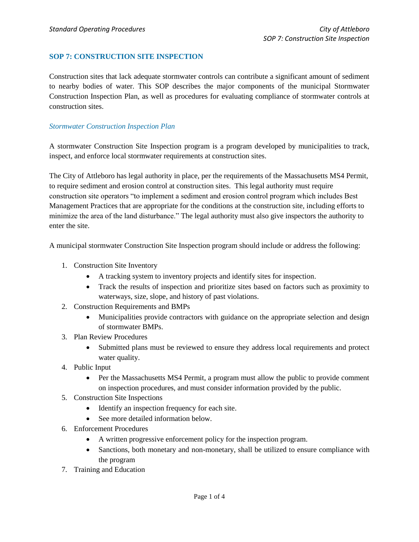# **SOP 7: CONSTRUCTION SITE INSPECTION**

Construction sites that lack adequate stormwater controls can contribute a significant amount of sediment to nearby bodies of water. This SOP describes the major components of the municipal Stormwater Construction Inspection Plan, as well as procedures for evaluating compliance of stormwater controls at construction sites.

#### *Stormwater Construction Inspection Plan*

A stormwater Construction Site Inspection program is a program developed by municipalities to track, inspect, and enforce local stormwater requirements at construction sites.

The City of Attleboro has legal authority in place, per the requirements of the Massachusetts MS4 Permit, to require sediment and erosion control at construction sites. This legal authority must require construction site operators "to implement a sediment and erosion control program which includes Best Management Practices that are appropriate for the conditions at the construction site, including efforts to minimize the area of the land disturbance." The legal authority must also give inspectors the authority to enter the site.

A municipal stormwater Construction Site Inspection program should include or address the following:

- 1. Construction Site Inventory
	- A tracking system to inventory projects and identify sites for inspection.
	- Track the results of inspection and prioritize sites based on factors such as proximity to waterways, size, slope, and history of past violations.
- 2. Construction Requirements and BMPs
	- Municipalities provide contractors with guidance on the appropriate selection and design of stormwater BMPs.
- 3. Plan Review Procedures
	- Submitted plans must be reviewed to ensure they address local requirements and protect water quality.
- 4. Public Input
	- Per the Massachusetts MS4 Permit, a program must allow the public to provide comment on inspection procedures, and must consider information provided by the public.
- 5. Construction Site Inspections
	- Identify an inspection frequency for each site.
	- See more detailed information below.
- 6. Enforcement Procedures
	- A written progressive enforcement policy for the inspection program.
	- Sanctions, both monetary and non-monetary, shall be utilized to ensure compliance with the program
- 7. Training and Education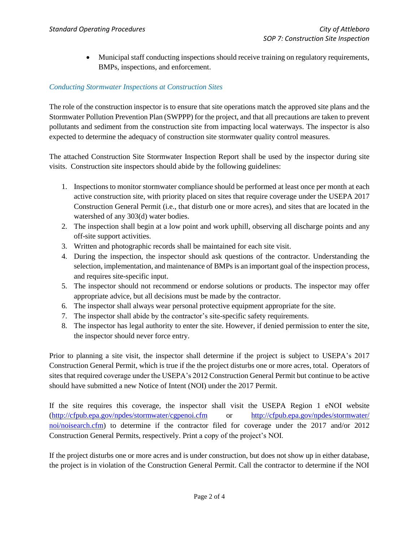Municipal staff conducting inspections should receive training on regulatory requirements, BMPs, inspections, and enforcement.

# *Conducting Stormwater Inspections at Construction Sites*

The role of the construction inspector is to ensure that site operations match the approved site plans and the Stormwater Pollution Prevention Plan (SWPPP) for the project, and that all precautions are taken to prevent pollutants and sediment from the construction site from impacting local waterways. The inspector is also expected to determine the adequacy of construction site stormwater quality control measures.

The attached Construction Site Stormwater Inspection Report shall be used by the inspector during site visits. Construction site inspectors should abide by the following guidelines:

- 1. Inspections to monitor stormwater compliance should be performed at least once per month at each active construction site, with priority placed on sites that require coverage under the USEPA 2017 Construction General Permit (i.e., that disturb one or more acres), and sites that are located in the watershed of any 303(d) water bodies.
- 2. The inspection shall begin at a low point and work uphill, observing all discharge points and any off-site support activities.
- 3. Written and photographic records shall be maintained for each site visit.
- 4. During the inspection, the inspector should ask questions of the contractor. Understanding the selection, implementation, and maintenance of BMPs is an important goal of the inspection process, and requires site-specific input.
- 5. The inspector should not recommend or endorse solutions or products. The inspector may offer appropriate advice, but all decisions must be made by the contractor.
- 6. The inspector shall always wear personal protective equipment appropriate for the site.
- 7. The inspector shall abide by the contractor's site-specific safety requirements.
- 8. The inspector has legal authority to enter the site. However, if denied permission to enter the site, the inspector should never force entry.

Prior to planning a site visit, the inspector shall determine if the project is subject to USEPA's 2017 Construction General Permit, which is true if the the project disturbs one or more acres, total. Operators of sites that required coverage under the USEPA's 2012 Construction General Permit but continue to be active should have submitted a new Notice of Intent (NOI) under the 2017 Permit.

If the site requires this coverage, the inspector shall visit the USEPA Region 1 eNOI website [\(http://cfpub.epa.gov/npdes/stormwater/cgpenoi.cfm](http://cfpub.epa.gov/npdes/stormwater/cgpenoi.cfm) or [http://cfpub.epa.gov/npdes/stormwater/](http://cfpub.epa.gov/npdes/stormwater/%20noi/noisearch.cfm)  [noi/noisearch.cfm\)](http://cfpub.epa.gov/npdes/stormwater/%20noi/noisearch.cfm) to determine if the contractor filed for coverage under the 2017 and/or 2012 Construction General Permits, respectively. Print a copy of the project's NOI.

If the project disturbs one or more acres and is under construction, but does not show up in either database, the project is in violation of the Construction General Permit. Call the contractor to determine if the NOI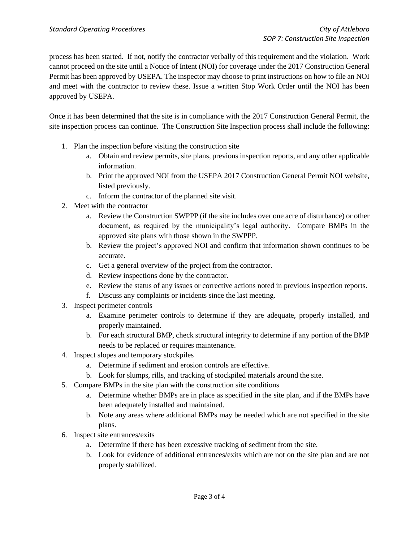process has been started. If not, notify the contractor verbally of this requirement and the violation. Work cannot proceed on the site until a Notice of Intent (NOI) for coverage under the 2017 Construction General Permit has been approved by USEPA. The inspector may choose to print instructions on how to file an NOI and meet with the contractor to review these. Issue a written Stop Work Order until the NOI has been approved by USEPA.

Once it has been determined that the site is in compliance with the 2017 Construction General Permit, the site inspection process can continue. The Construction Site Inspection process shall include the following:

- 1. Plan the inspection before visiting the construction site
	- a. Obtain and review permits, site plans, previous inspection reports, and any other applicable information.
	- b. Print the approved NOI from the USEPA 2017 Construction General Permit NOI website, listed previously.
	- c. Inform the contractor of the planned site visit.
- 2. Meet with the contractor
	- a. Review the Construction SWPPP (if the site includes over one acre of disturbance) or other document, as required by the municipality's legal authority. Compare BMPs in the approved site plans with those shown in the SWPPP.
	- b. Review the project's approved NOI and confirm that information shown continues to be accurate.
	- c. Get a general overview of the project from the contractor.
	- d. Review inspections done by the contractor.
	- e. Review the status of any issues or corrective actions noted in previous inspection reports.
	- f. Discuss any complaints or incidents since the last meeting.
- 3. Inspect perimeter controls
	- a. Examine perimeter controls to determine if they are adequate, properly installed, and properly maintained.
	- b. For each structural BMP, check structural integrity to determine if any portion of the BMP needs to be replaced or requires maintenance.
- 4. Inspect slopes and temporary stockpiles
	- a. Determine if sediment and erosion controls are effective.
	- b. Look for slumps, rills, and tracking of stockpiled materials around the site.
- 5. Compare BMPs in the site plan with the construction site conditions
	- a. Determine whether BMPs are in place as specified in the site plan, and if the BMPs have been adequately installed and maintained.
	- b. Note any areas where additional BMPs may be needed which are not specified in the site plans.
- 6. Inspect site entrances/exits
	- a. Determine if there has been excessive tracking of sediment from the site.
	- b. Look for evidence of additional entrances/exits which are not on the site plan and are not properly stabilized.